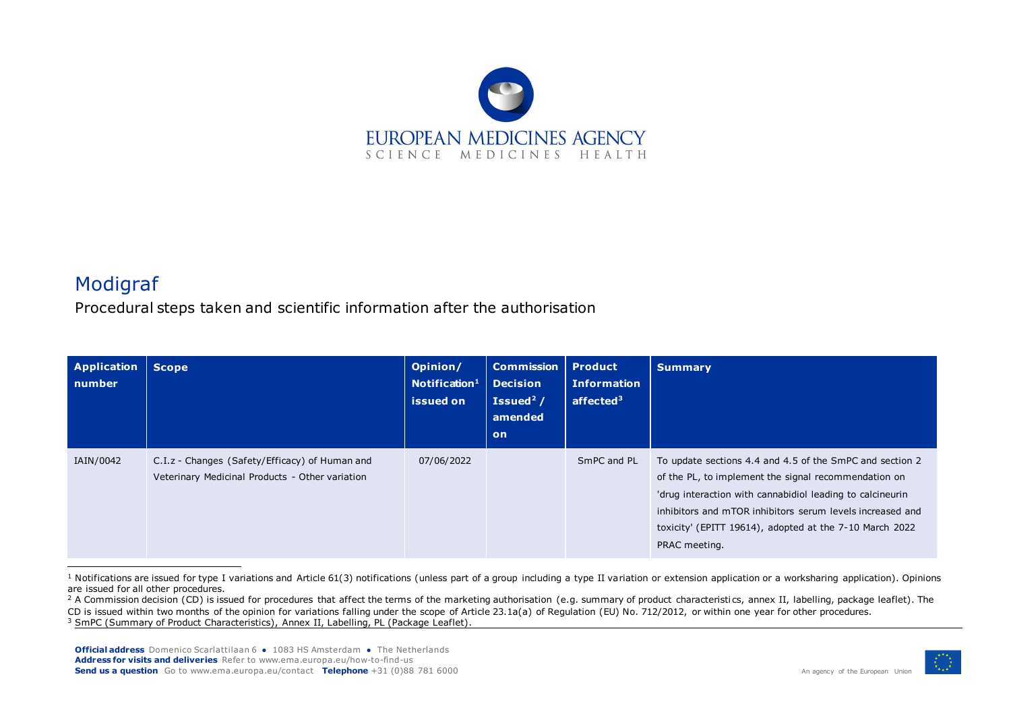

## Modigraf

Procedural steps taken and scientific information after the authorisation

| <b>Application</b><br>number | <b>Scope</b>                                                                                      | Opinion/<br>Notification <sup>1</sup><br>issued on | <b>Commission</b><br><b>Decision</b><br>Issued <sup>2</sup> $/$<br>amended<br>on | <b>Product</b><br><b>Information</b><br>affected <sup>3</sup> | <b>Summary</b>                                                                                                                                                                                                                                                                                                         |
|------------------------------|---------------------------------------------------------------------------------------------------|----------------------------------------------------|----------------------------------------------------------------------------------|---------------------------------------------------------------|------------------------------------------------------------------------------------------------------------------------------------------------------------------------------------------------------------------------------------------------------------------------------------------------------------------------|
| IAIN/0042                    | C.I.z - Changes (Safety/Efficacy) of Human and<br>Veterinary Medicinal Products - Other variation | 07/06/2022                                         |                                                                                  | SmPC and PL                                                   | To update sections 4.4 and 4.5 of the SmPC and section 2<br>of the PL, to implement the signal recommendation on<br>'drug interaction with cannabidiol leading to calcineurin<br>inhibitors and mTOR inhibitors serum levels increased and<br>toxicity' (EPITT 19614), adopted at the 7-10 March 2022<br>PRAC meeting. |

<sup>&</sup>lt;sup>1</sup> Notifications are issued for type I variations and Article 61(3) notifications (unless part of a group including a type II variation or extension application or a worksharing application). Opinions are issued for all other procedures.



<sup>&</sup>lt;sup>2</sup> A Commission decision (CD) is issued for procedures that affect the terms of the marketing authorisation (e.g. summary of product characteristics, annex II, labelling, package leaflet). The CD is issued within two months of the opinion for variations falling under the scope of Article 23.1a(a) of Regulation (EU) No. 712/2012, or within one year for other procedures. <sup>3</sup> SmPC (Summary of Product Characteristics), Annex II, Labelling, PL (Package Leaflet).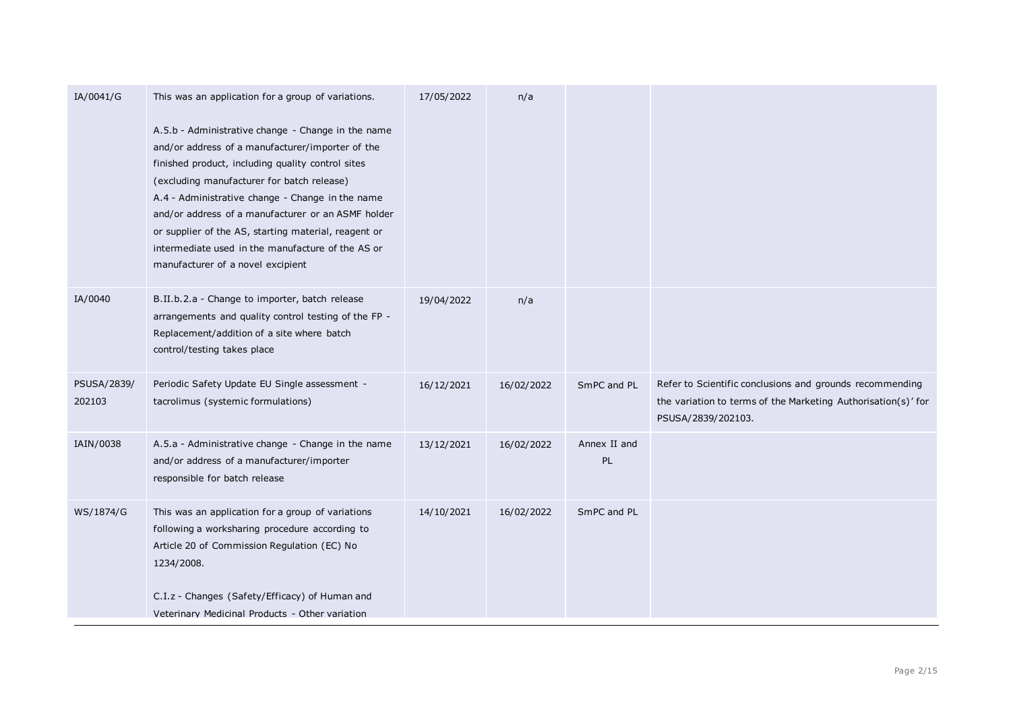| IA/0041/G             | This was an application for a group of variations.                                                                                                                                                                                                                                                                                                                                                                                                                    | 17/05/2022 | n/a        |                    |                                                                                                                                                 |
|-----------------------|-----------------------------------------------------------------------------------------------------------------------------------------------------------------------------------------------------------------------------------------------------------------------------------------------------------------------------------------------------------------------------------------------------------------------------------------------------------------------|------------|------------|--------------------|-------------------------------------------------------------------------------------------------------------------------------------------------|
|                       | A.5.b - Administrative change - Change in the name<br>and/or address of a manufacturer/importer of the<br>finished product, including quality control sites<br>(excluding manufacturer for batch release)<br>A.4 - Administrative change - Change in the name<br>and/or address of a manufacturer or an ASMF holder<br>or supplier of the AS, starting material, reagent or<br>intermediate used in the manufacture of the AS or<br>manufacturer of a novel excipient |            |            |                    |                                                                                                                                                 |
| IA/0040               | B.II.b.2.a - Change to importer, batch release<br>arrangements and quality control testing of the FP -<br>Replacement/addition of a site where batch<br>control/testing takes place                                                                                                                                                                                                                                                                                   | 19/04/2022 | n/a        |                    |                                                                                                                                                 |
| PSUSA/2839/<br>202103 | Periodic Safety Update EU Single assessment -<br>tacrolimus (systemic formulations)                                                                                                                                                                                                                                                                                                                                                                                   | 16/12/2021 | 16/02/2022 | SmPC and PL        | Refer to Scientific conclusions and grounds recommending<br>the variation to terms of the Marketing Authorisation(s)' for<br>PSUSA/2839/202103. |
| IAIN/0038             | A.5.a - Administrative change - Change in the name<br>and/or address of a manufacturer/importer<br>responsible for batch release                                                                                                                                                                                                                                                                                                                                      | 13/12/2021 | 16/02/2022 | Annex II and<br>PL |                                                                                                                                                 |
| WS/1874/G             | This was an application for a group of variations<br>following a worksharing procedure according to<br>Article 20 of Commission Regulation (EC) No<br>1234/2008.                                                                                                                                                                                                                                                                                                      | 14/10/2021 | 16/02/2022 | SmPC and PL        |                                                                                                                                                 |
|                       | C.I.z - Changes (Safety/Efficacy) of Human and<br>Veterinary Medicinal Products - Other variation                                                                                                                                                                                                                                                                                                                                                                     |            |            |                    |                                                                                                                                                 |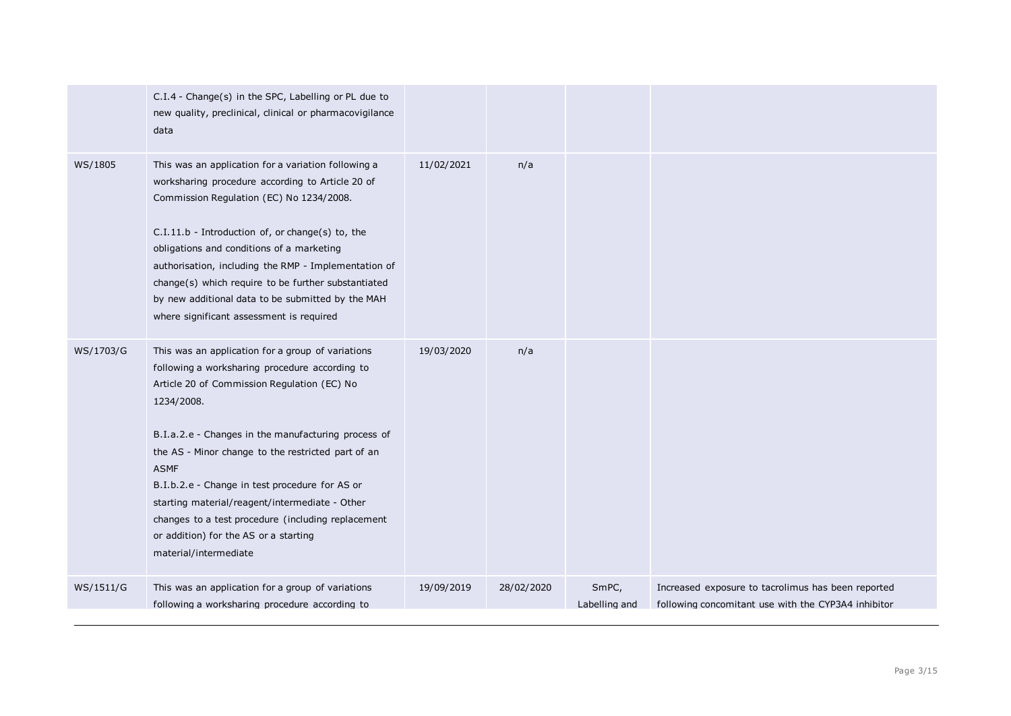|           | C.I.4 - Change(s) in the SPC, Labelling or PL due to<br>new quality, preclinical, clinical or pharmacovigilance<br>data                                                                                                                                                                                                                                                                                                                                                                                                  |            |            |                        |                                                                                                           |
|-----------|--------------------------------------------------------------------------------------------------------------------------------------------------------------------------------------------------------------------------------------------------------------------------------------------------------------------------------------------------------------------------------------------------------------------------------------------------------------------------------------------------------------------------|------------|------------|------------------------|-----------------------------------------------------------------------------------------------------------|
| WS/1805   | This was an application for a variation following a<br>worksharing procedure according to Article 20 of<br>Commission Regulation (EC) No 1234/2008.<br>C.I.11.b - Introduction of, or change(s) to, the<br>obligations and conditions of a marketing<br>authorisation, including the RMP - Implementation of<br>change(s) which require to be further substantiated<br>by new additional data to be submitted by the MAH<br>where significant assessment is required                                                     | 11/02/2021 | n/a        |                        |                                                                                                           |
| WS/1703/G | This was an application for a group of variations<br>following a worksharing procedure according to<br>Article 20 of Commission Regulation (EC) No<br>1234/2008.<br>B.I.a.2.e - Changes in the manufacturing process of<br>the AS - Minor change to the restricted part of an<br><b>ASMF</b><br>B.I.b.2.e - Change in test procedure for AS or<br>starting material/reagent/intermediate - Other<br>changes to a test procedure (including replacement<br>or addition) for the AS or a starting<br>material/intermediate | 19/03/2020 | n/a        |                        |                                                                                                           |
| WS/1511/G | This was an application for a group of variations<br>following a worksharing procedure according to                                                                                                                                                                                                                                                                                                                                                                                                                      | 19/09/2019 | 28/02/2020 | SmPC,<br>Labelling and | Increased exposure to tacrolimus has been reported<br>following concomitant use with the CYP3A4 inhibitor |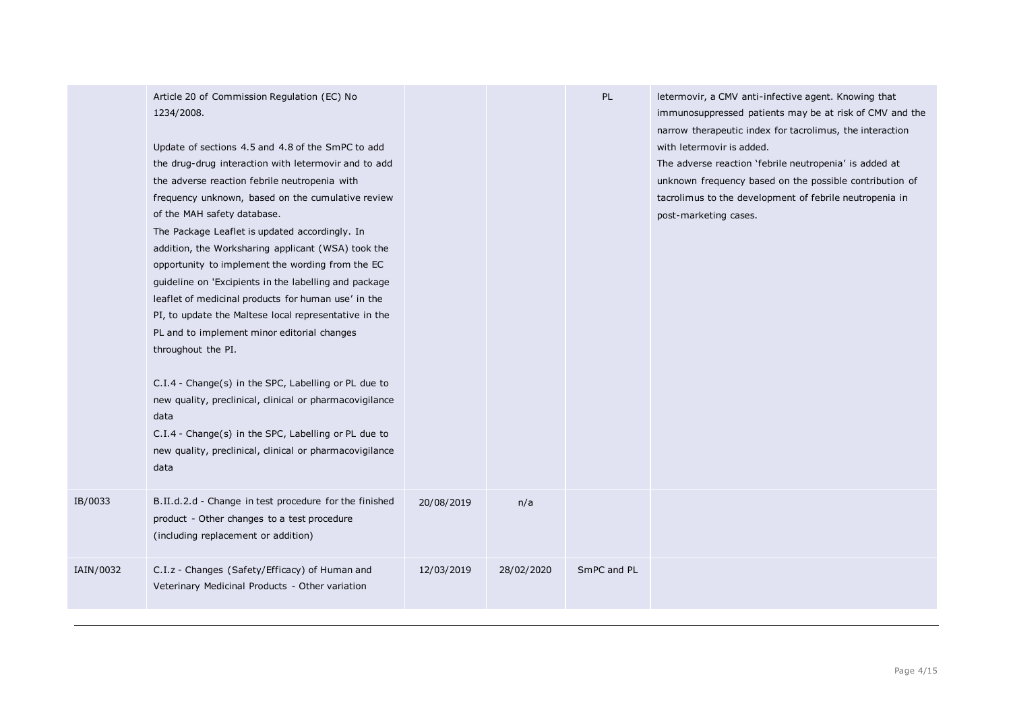| IB/0033   | Article 20 of Commission Regulation (EC) No<br>1234/2008.<br>Update of sections 4.5 and 4.8 of the SmPC to add<br>the drug-drug interaction with letermovir and to add<br>the adverse reaction febrile neutropenia with<br>frequency unknown, based on the cumulative review<br>of the MAH safety database.<br>The Package Leaflet is updated accordingly. In<br>addition, the Worksharing applicant (WSA) took the<br>opportunity to implement the wording from the EC<br>guideline on 'Excipients in the labelling and package<br>leaflet of medicinal products for human use' in the<br>PI, to update the Maltese local representative in the<br>PL and to implement minor editorial changes<br>throughout the PI.<br>C.I.4 - Change(s) in the SPC, Labelling or PL due to<br>new quality, preclinical, clinical or pharmacovigilance<br>data<br>C.I.4 - Change(s) in the SPC, Labelling or PL due to<br>new quality, preclinical, clinical or pharmacovigilance<br>data<br>B.II.d.2.d - Change in test procedure for the finished | 20/08/2019 | n/a        | PL          | letermovir, a CMV anti-infective agent. Knowing that<br>immunosuppressed patients may be at risk of CMV and the<br>narrow therapeutic index for tacrolimus, the interaction<br>with letermovir is added.<br>The adverse reaction 'febrile neutropenia' is added at<br>unknown frequency based on the possible contribution of<br>tacrolimus to the development of febrile neutropenia in<br>post-marketing cases. |
|-----------|---------------------------------------------------------------------------------------------------------------------------------------------------------------------------------------------------------------------------------------------------------------------------------------------------------------------------------------------------------------------------------------------------------------------------------------------------------------------------------------------------------------------------------------------------------------------------------------------------------------------------------------------------------------------------------------------------------------------------------------------------------------------------------------------------------------------------------------------------------------------------------------------------------------------------------------------------------------------------------------------------------------------------------------|------------|------------|-------------|-------------------------------------------------------------------------------------------------------------------------------------------------------------------------------------------------------------------------------------------------------------------------------------------------------------------------------------------------------------------------------------------------------------------|
|           | product - Other changes to a test procedure<br>(including replacement or addition)                                                                                                                                                                                                                                                                                                                                                                                                                                                                                                                                                                                                                                                                                                                                                                                                                                                                                                                                                    |            |            |             |                                                                                                                                                                                                                                                                                                                                                                                                                   |
| IAIN/0032 | C.I.z - Changes (Safety/Efficacy) of Human and<br>Veterinary Medicinal Products - Other variation                                                                                                                                                                                                                                                                                                                                                                                                                                                                                                                                                                                                                                                                                                                                                                                                                                                                                                                                     | 12/03/2019 | 28/02/2020 | SmPC and PL |                                                                                                                                                                                                                                                                                                                                                                                                                   |
|           |                                                                                                                                                                                                                                                                                                                                                                                                                                                                                                                                                                                                                                                                                                                                                                                                                                                                                                                                                                                                                                       |            |            |             |                                                                                                                                                                                                                                                                                                                                                                                                                   |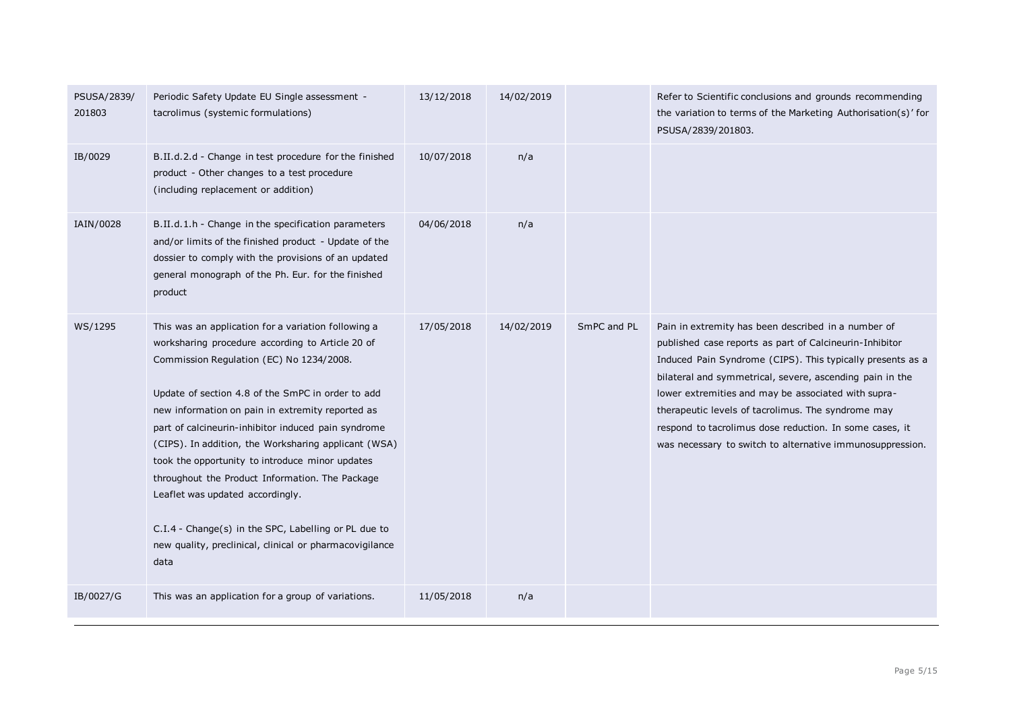| PSUSA/2839/201803.                                                                                                                                                                                                                                                                                                                                                                                                                                                                                                                                                                                                                                                                                                                                                                                                                                                                                                                                                                                                                                                                                                                                                                      |  |
|-----------------------------------------------------------------------------------------------------------------------------------------------------------------------------------------------------------------------------------------------------------------------------------------------------------------------------------------------------------------------------------------------------------------------------------------------------------------------------------------------------------------------------------------------------------------------------------------------------------------------------------------------------------------------------------------------------------------------------------------------------------------------------------------------------------------------------------------------------------------------------------------------------------------------------------------------------------------------------------------------------------------------------------------------------------------------------------------------------------------------------------------------------------------------------------------|--|
| IB/0029<br>B.II.d.2.d - Change in test procedure for the finished<br>10/07/2018<br>n/a<br>product - Other changes to a test procedure<br>(including replacement or addition)                                                                                                                                                                                                                                                                                                                                                                                                                                                                                                                                                                                                                                                                                                                                                                                                                                                                                                                                                                                                            |  |
| IAIN/0028<br>B.II.d.1.h - Change in the specification parameters<br>04/06/2018<br>n/a<br>and/or limits of the finished product - Update of the<br>dossier to comply with the provisions of an updated<br>general monograph of the Ph. Eur. for the finished<br>product                                                                                                                                                                                                                                                                                                                                                                                                                                                                                                                                                                                                                                                                                                                                                                                                                                                                                                                  |  |
| WS/1295<br>17/05/2018<br>This was an application for a variation following a<br>14/02/2019<br>SmPC and PL<br>Pain in extremity has been described in a number of<br>worksharing procedure according to Article 20 of<br>published case reports as part of Calcineurin-Inhibitor<br>Commission Regulation (EC) No 1234/2008.<br>Induced Pain Syndrome (CIPS). This typically presents as a<br>bilateral and symmetrical, severe, ascending pain in the<br>Update of section 4.8 of the SmPC in order to add<br>lower extremities and may be associated with supra-<br>new information on pain in extremity reported as<br>therapeutic levels of tacrolimus. The syndrome may<br>respond to tacrolimus dose reduction. In some cases, it<br>part of calcineurin-inhibitor induced pain syndrome<br>(CIPS). In addition, the Worksharing applicant (WSA)<br>was necessary to switch to alternative immunosuppression.<br>took the opportunity to introduce minor updates<br>throughout the Product Information. The Package<br>Leaflet was updated accordingly.<br>C.I.4 - Change(s) in the SPC, Labelling or PL due to<br>new quality, preclinical, clinical or pharmacovigilance<br>data |  |
| IB/0027/G<br>This was an application for a group of variations.<br>11/05/2018<br>n/a                                                                                                                                                                                                                                                                                                                                                                                                                                                                                                                                                                                                                                                                                                                                                                                                                                                                                                                                                                                                                                                                                                    |  |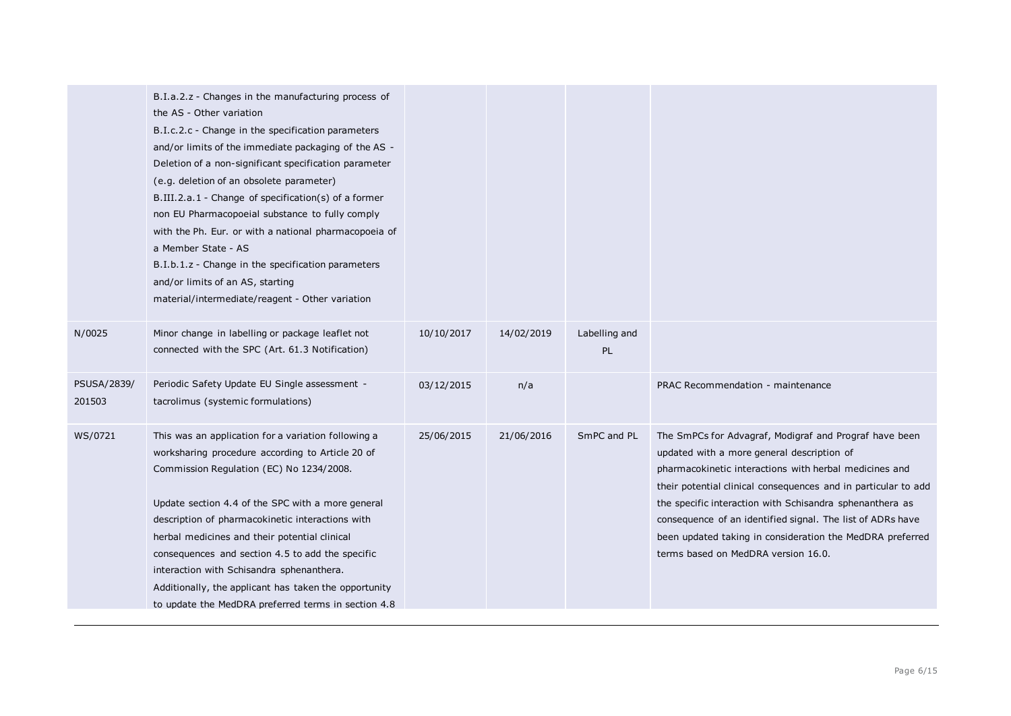|                       | B.I.a.2.z - Changes in the manufacturing process of<br>the AS - Other variation<br>B.I.c.2.c - Change in the specification parameters<br>and/or limits of the immediate packaging of the AS -<br>Deletion of a non-significant specification parameter<br>(e.g. deletion of an obsolete parameter)<br>B.III.2.a.1 - Change of specification(s) of a former<br>non EU Pharmacopoeial substance to fully comply<br>with the Ph. Eur. or with a national pharmacopoeia of<br>a Member State - AS<br>B.I.b.1.z - Change in the specification parameters<br>and/or limits of an AS, starting<br>material/intermediate/reagent - Other variation |            |            |                     |                                                                                                                                                                                                                                                                                                                                                                                                                                                                |
|-----------------------|--------------------------------------------------------------------------------------------------------------------------------------------------------------------------------------------------------------------------------------------------------------------------------------------------------------------------------------------------------------------------------------------------------------------------------------------------------------------------------------------------------------------------------------------------------------------------------------------------------------------------------------------|------------|------------|---------------------|----------------------------------------------------------------------------------------------------------------------------------------------------------------------------------------------------------------------------------------------------------------------------------------------------------------------------------------------------------------------------------------------------------------------------------------------------------------|
| N/0025                | Minor change in labelling or package leaflet not<br>connected with the SPC (Art. 61.3 Notification)                                                                                                                                                                                                                                                                                                                                                                                                                                                                                                                                        | 10/10/2017 | 14/02/2019 | Labelling and<br>PL |                                                                                                                                                                                                                                                                                                                                                                                                                                                                |
| PSUSA/2839/<br>201503 | Periodic Safety Update EU Single assessment -<br>tacrolimus (systemic formulations)                                                                                                                                                                                                                                                                                                                                                                                                                                                                                                                                                        | 03/12/2015 | n/a        |                     | PRAC Recommendation - maintenance                                                                                                                                                                                                                                                                                                                                                                                                                              |
| WS/0721               | This was an application for a variation following a<br>worksharing procedure according to Article 20 of<br>Commission Regulation (EC) No 1234/2008.<br>Update section 4.4 of the SPC with a more general<br>description of pharmacokinetic interactions with<br>herbal medicines and their potential clinical<br>consequences and section 4.5 to add the specific<br>interaction with Schisandra sphenanthera.<br>Additionally, the applicant has taken the opportunity<br>to update the MedDRA preferred terms in section 4.8                                                                                                             | 25/06/2015 | 21/06/2016 | SmPC and PL         | The SmPCs for Advagraf, Modigraf and Prograf have been<br>updated with a more general description of<br>pharmacokinetic interactions with herbal medicines and<br>their potential clinical consequences and in particular to add<br>the specific interaction with Schisandra sphenanthera as<br>consequence of an identified signal. The list of ADRs have<br>been updated taking in consideration the MedDRA preferred<br>terms based on MedDRA version 16.0. |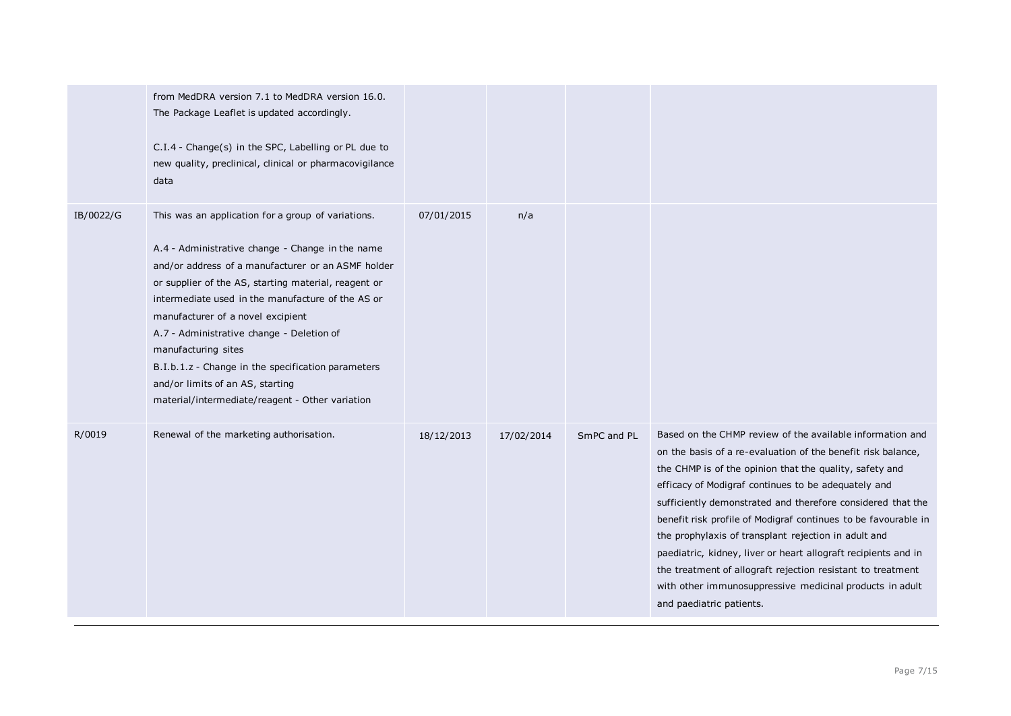|           | from MedDRA version 7.1 to MedDRA version 16.0.<br>The Package Leaflet is updated accordingly.<br>C.I.4 - Change(s) in the SPC, Labelling or PL due to<br>new quality, preclinical, clinical or pharmacovigilance<br>data                                                                                                                                                                                                                                                                                                       |            |            |             |                                                                                                                                                                                                                                                                                                                                                                                                                                                                                                                                                                                                                                                               |
|-----------|---------------------------------------------------------------------------------------------------------------------------------------------------------------------------------------------------------------------------------------------------------------------------------------------------------------------------------------------------------------------------------------------------------------------------------------------------------------------------------------------------------------------------------|------------|------------|-------------|---------------------------------------------------------------------------------------------------------------------------------------------------------------------------------------------------------------------------------------------------------------------------------------------------------------------------------------------------------------------------------------------------------------------------------------------------------------------------------------------------------------------------------------------------------------------------------------------------------------------------------------------------------------|
| IB/0022/G | This was an application for a group of variations.<br>A.4 - Administrative change - Change in the name<br>and/or address of a manufacturer or an ASMF holder<br>or supplier of the AS, starting material, reagent or<br>intermediate used in the manufacture of the AS or<br>manufacturer of a novel excipient<br>A.7 - Administrative change - Deletion of<br>manufacturing sites<br>B.I.b.1.z - Change in the specification parameters<br>and/or limits of an AS, starting<br>material/intermediate/reagent - Other variation | 07/01/2015 | n/a        |             |                                                                                                                                                                                                                                                                                                                                                                                                                                                                                                                                                                                                                                                               |
| R/0019    | Renewal of the marketing authorisation.                                                                                                                                                                                                                                                                                                                                                                                                                                                                                         | 18/12/2013 | 17/02/2014 | SmPC and PL | Based on the CHMP review of the available information and<br>on the basis of a re-evaluation of the benefit risk balance,<br>the CHMP is of the opinion that the quality, safety and<br>efficacy of Modigraf continues to be adequately and<br>sufficiently demonstrated and therefore considered that the<br>benefit risk profile of Modigraf continues to be favourable in<br>the prophylaxis of transplant rejection in adult and<br>paediatric, kidney, liver or heart allograft recipients and in<br>the treatment of allograft rejection resistant to treatment<br>with other immunosuppressive medicinal products in adult<br>and paediatric patients. |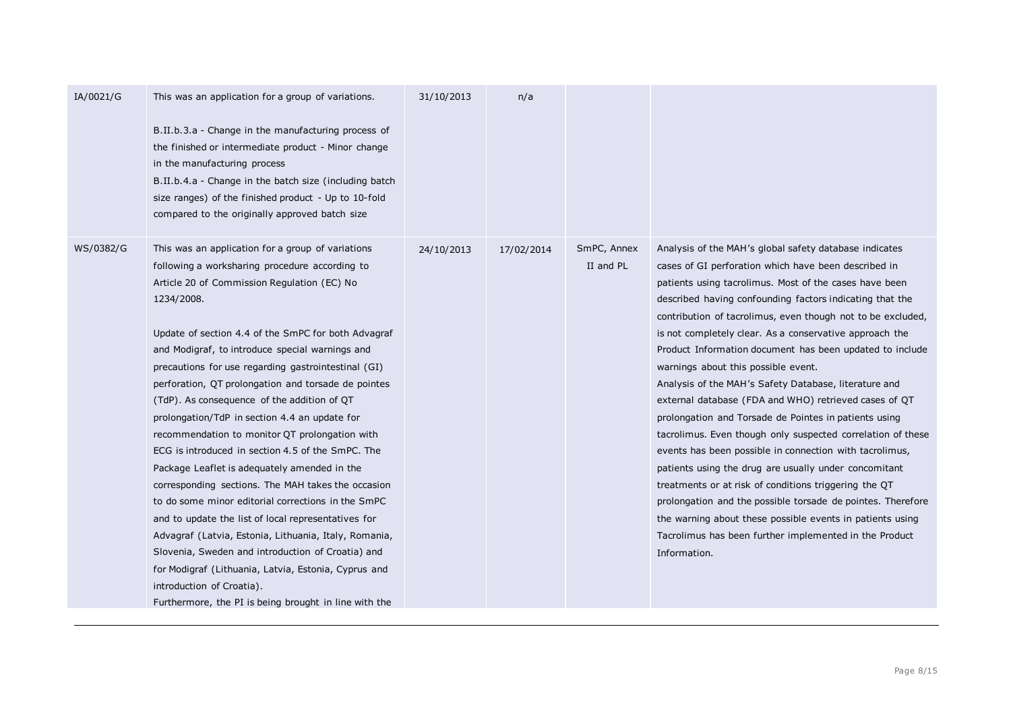| IA/0021/G | This was an application for a group of variations.<br>B.II.b.3.a - Change in the manufacturing process of<br>the finished or intermediate product - Minor change<br>in the manufacturing process<br>B.II.b.4.a - Change in the batch size (including batch<br>size ranges) of the finished product - Up to 10-fold<br>compared to the originally approved batch size                                                                                                                                                                                                                                                                                                                                                                                                                                                                                                                                                                                                                                                                                                           | 31/10/2013 | n/a        |                          |                                                                                                                                                                                                                                                                                                                                                                                                                                                                                                                                                                                                                                                                                                                                                                                                                                                                                                                                                                                                                                                                                                |
|-----------|--------------------------------------------------------------------------------------------------------------------------------------------------------------------------------------------------------------------------------------------------------------------------------------------------------------------------------------------------------------------------------------------------------------------------------------------------------------------------------------------------------------------------------------------------------------------------------------------------------------------------------------------------------------------------------------------------------------------------------------------------------------------------------------------------------------------------------------------------------------------------------------------------------------------------------------------------------------------------------------------------------------------------------------------------------------------------------|------------|------------|--------------------------|------------------------------------------------------------------------------------------------------------------------------------------------------------------------------------------------------------------------------------------------------------------------------------------------------------------------------------------------------------------------------------------------------------------------------------------------------------------------------------------------------------------------------------------------------------------------------------------------------------------------------------------------------------------------------------------------------------------------------------------------------------------------------------------------------------------------------------------------------------------------------------------------------------------------------------------------------------------------------------------------------------------------------------------------------------------------------------------------|
| WS/0382/G | This was an application for a group of variations<br>following a worksharing procedure according to<br>Article 20 of Commission Regulation (EC) No<br>1234/2008.<br>Update of section 4.4 of the SmPC for both Advagraf<br>and Modigraf, to introduce special warnings and<br>precautions for use regarding gastrointestinal (GI)<br>perforation, QT prolongation and torsade de pointes<br>(TdP). As consequence of the addition of QT<br>prolongation/TdP in section 4.4 an update for<br>recommendation to monitor QT prolongation with<br>ECG is introduced in section 4.5 of the SmPC. The<br>Package Leaflet is adequately amended in the<br>corresponding sections. The MAH takes the occasion<br>to do some minor editorial corrections in the SmPC<br>and to update the list of local representatives for<br>Advagraf (Latvia, Estonia, Lithuania, Italy, Romania,<br>Slovenia, Sweden and introduction of Croatia) and<br>for Modigraf (Lithuania, Latvia, Estonia, Cyprus and<br>introduction of Croatia).<br>Furthermore, the PI is being brought in line with the | 24/10/2013 | 17/02/2014 | SmPC, Annex<br>II and PL | Analysis of the MAH's global safety database indicates<br>cases of GI perforation which have been described in<br>patients using tacrolimus. Most of the cases have been<br>described having confounding factors indicating that the<br>contribution of tacrolimus, even though not to be excluded,<br>is not completely clear. As a conservative approach the<br>Product Information document has been updated to include<br>warnings about this possible event.<br>Analysis of the MAH's Safety Database, literature and<br>external database (FDA and WHO) retrieved cases of QT<br>prolongation and Torsade de Pointes in patients using<br>tacrolimus. Even though only suspected correlation of these<br>events has been possible in connection with tacrolimus,<br>patients using the drug are usually under concomitant<br>treatments or at risk of conditions triggering the QT<br>prolongation and the possible torsade de pointes. Therefore<br>the warning about these possible events in patients using<br>Tacrolimus has been further implemented in the Product<br>Information. |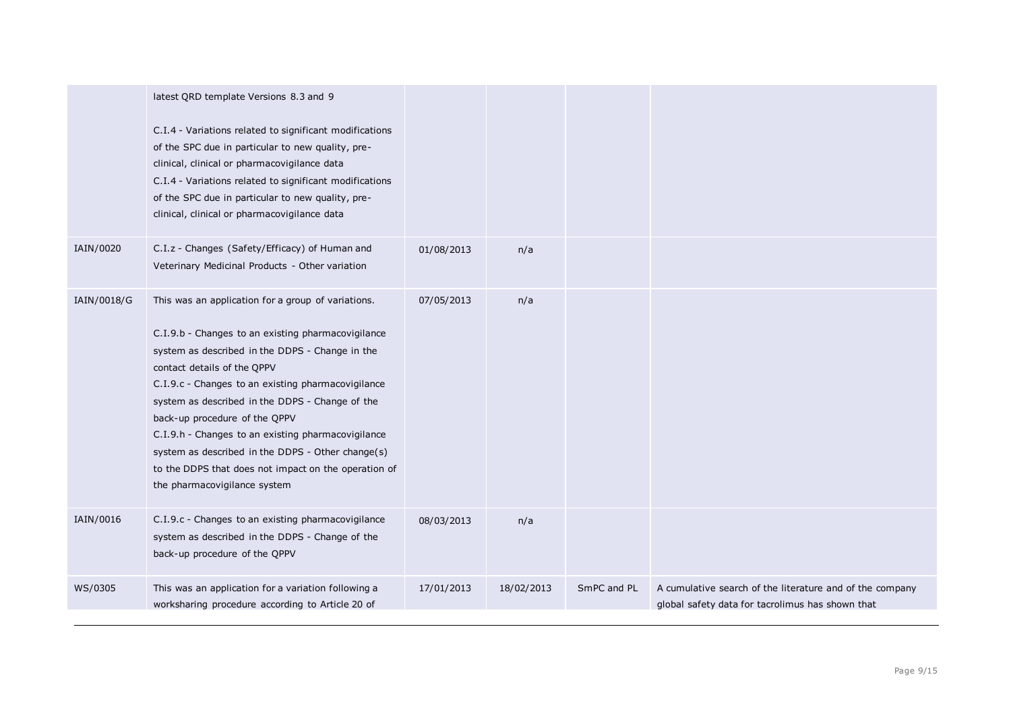|             | latest QRD template Versions 8.3 and 9<br>C.I.4 - Variations related to significant modifications<br>of the SPC due in particular to new quality, pre-<br>clinical, clinical or pharmacovigilance data<br>C.I.4 - Variations related to significant modifications<br>of the SPC due in particular to new quality, pre-<br>clinical, clinical or pharmacovigilance data                                                                                                                                                                  |            |            |             |                                                                                                              |
|-------------|-----------------------------------------------------------------------------------------------------------------------------------------------------------------------------------------------------------------------------------------------------------------------------------------------------------------------------------------------------------------------------------------------------------------------------------------------------------------------------------------------------------------------------------------|------------|------------|-------------|--------------------------------------------------------------------------------------------------------------|
| IAIN/0020   | C.I.z - Changes (Safety/Efficacy) of Human and<br>Veterinary Medicinal Products - Other variation                                                                                                                                                                                                                                                                                                                                                                                                                                       | 01/08/2013 | n/a        |             |                                                                                                              |
| IAIN/0018/G | This was an application for a group of variations.<br>C.I.9.b - Changes to an existing pharmacovigilance<br>system as described in the DDPS - Change in the<br>contact details of the QPPV<br>C.I.9.c - Changes to an existing pharmacovigilance<br>system as described in the DDPS - Change of the<br>back-up procedure of the QPPV<br>C.I.9.h - Changes to an existing pharmacovigilance<br>system as described in the DDPS - Other change(s)<br>to the DDPS that does not impact on the operation of<br>the pharmacovigilance system | 07/05/2013 | n/a        |             |                                                                                                              |
| IAIN/0016   | C.I.9.c - Changes to an existing pharmacovigilance<br>system as described in the DDPS - Change of the<br>back-up procedure of the QPPV                                                                                                                                                                                                                                                                                                                                                                                                  | 08/03/2013 | n/a        |             |                                                                                                              |
| WS/0305     | This was an application for a variation following a<br>worksharing procedure according to Article 20 of                                                                                                                                                                                                                                                                                                                                                                                                                                 | 17/01/2013 | 18/02/2013 | SmPC and PL | A cumulative search of the literature and of the company<br>global safety data for tacrolimus has shown that |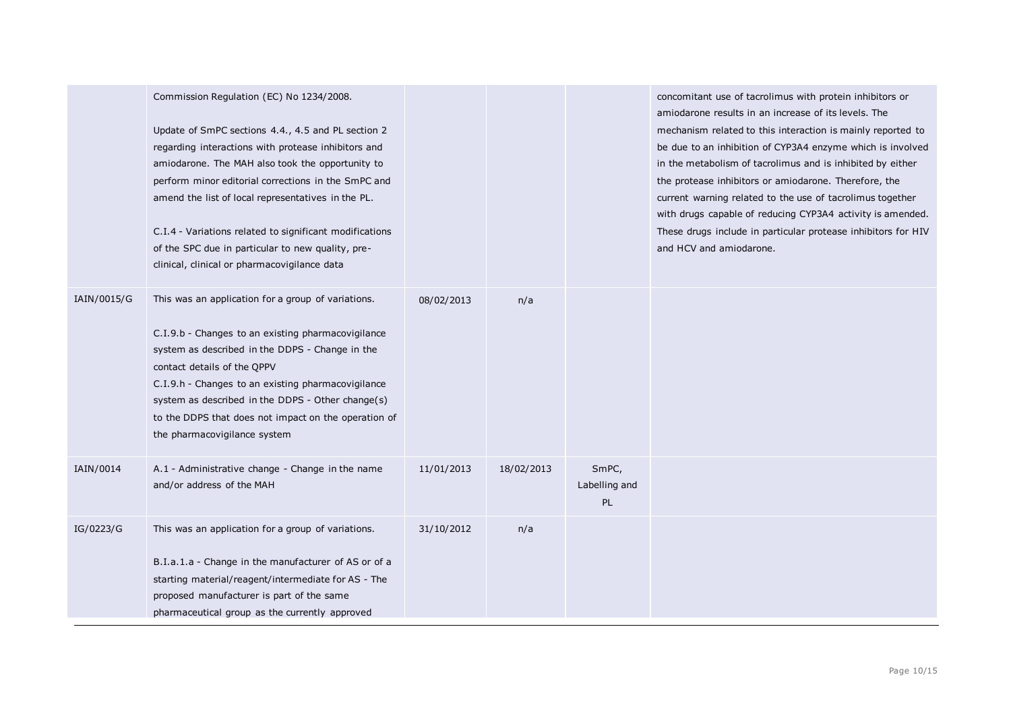|             | Commission Regulation (EC) No 1234/2008.<br>Update of SmPC sections 4.4., 4.5 and PL section 2<br>regarding interactions with protease inhibitors and<br>amiodarone. The MAH also took the opportunity to<br>perform minor editorial corrections in the SmPC and<br>amend the list of local representatives in the PL.<br>C.I.4 - Variations related to significant modifications<br>of the SPC due in particular to new quality, pre-<br>clinical, clinical or pharmacovigilance data |            |            |                              | concomitant use of tacrolimus with protein inhibitors or<br>amiodarone results in an increase of its levels. The<br>mechanism related to this interaction is mainly reported to<br>be due to an inhibition of CYP3A4 enzyme which is involved<br>in the metabolism of tacrolimus and is inhibited by either<br>the protease inhibitors or amiodarone. Therefore, the<br>current warning related to the use of tacrolimus together<br>with drugs capable of reducing CYP3A4 activity is amended.<br>These drugs include in particular protease inhibitors for HIV<br>and HCV and amiodarone. |
|-------------|----------------------------------------------------------------------------------------------------------------------------------------------------------------------------------------------------------------------------------------------------------------------------------------------------------------------------------------------------------------------------------------------------------------------------------------------------------------------------------------|------------|------------|------------------------------|---------------------------------------------------------------------------------------------------------------------------------------------------------------------------------------------------------------------------------------------------------------------------------------------------------------------------------------------------------------------------------------------------------------------------------------------------------------------------------------------------------------------------------------------------------------------------------------------|
| IAIN/0015/G | This was an application for a group of variations.<br>C.I.9.b - Changes to an existing pharmacovigilance<br>system as described in the DDPS - Change in the<br>contact details of the OPPV<br>C.I.9.h - Changes to an existing pharmacovigilance<br>system as described in the DDPS - Other change(s)<br>to the DDPS that does not impact on the operation of<br>the pharmacovigilance system                                                                                          | 08/02/2013 | n/a        |                              |                                                                                                                                                                                                                                                                                                                                                                                                                                                                                                                                                                                             |
| IAIN/0014   | A.1 - Administrative change - Change in the name<br>and/or address of the MAH                                                                                                                                                                                                                                                                                                                                                                                                          | 11/01/2013 | 18/02/2013 | SmPC,<br>Labelling and<br>PL |                                                                                                                                                                                                                                                                                                                                                                                                                                                                                                                                                                                             |
| IG/0223/G   | This was an application for a group of variations.<br>B.I.a.1.a - Change in the manufacturer of AS or of a<br>starting material/reagent/intermediate for AS - The<br>proposed manufacturer is part of the same<br>pharmaceutical group as the currently approved                                                                                                                                                                                                                       | 31/10/2012 | n/a        |                              |                                                                                                                                                                                                                                                                                                                                                                                                                                                                                                                                                                                             |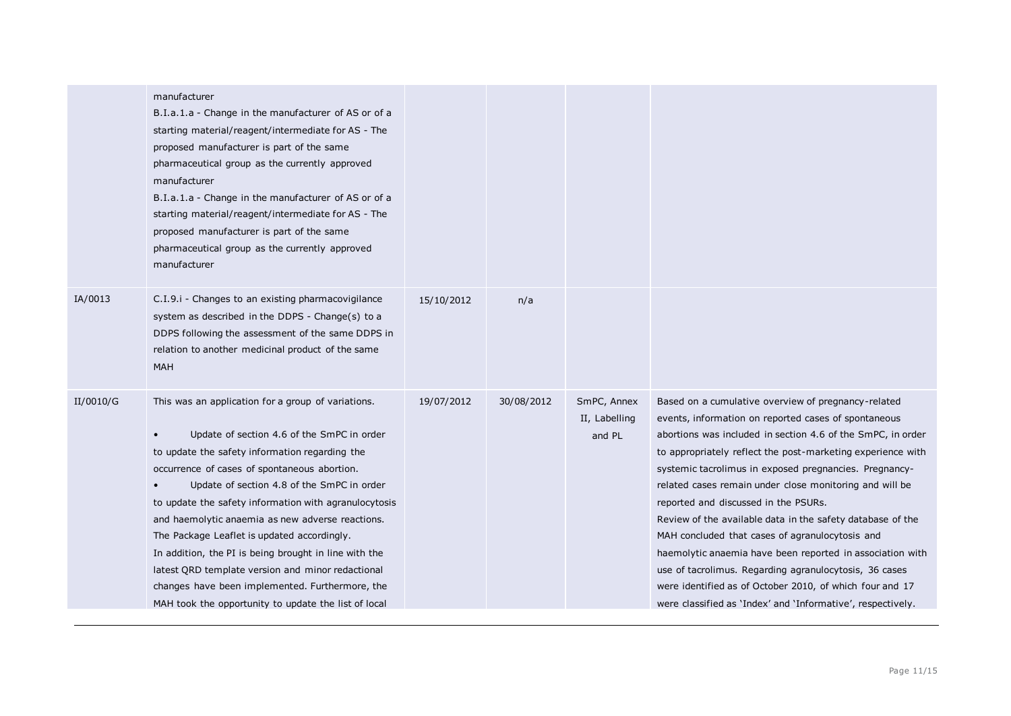|           | manufacturer<br>B.I.a.1.a - Change in the manufacturer of AS or of a<br>starting material/reagent/intermediate for AS - The<br>proposed manufacturer is part of the same<br>pharmaceutical group as the currently approved<br>manufacturer<br>B.I.a.1.a - Change in the manufacturer of AS or of a<br>starting material/reagent/intermediate for AS - The<br>proposed manufacturer is part of the same<br>pharmaceutical group as the currently approved<br>manufacturer                                                                                                                                                                           |            |            |                                        |                                                                                                                                                                                                                                                                                                                                                                                                                                                                                                                                                                                                                                                                                                                                                                           |
|-----------|----------------------------------------------------------------------------------------------------------------------------------------------------------------------------------------------------------------------------------------------------------------------------------------------------------------------------------------------------------------------------------------------------------------------------------------------------------------------------------------------------------------------------------------------------------------------------------------------------------------------------------------------------|------------|------------|----------------------------------------|---------------------------------------------------------------------------------------------------------------------------------------------------------------------------------------------------------------------------------------------------------------------------------------------------------------------------------------------------------------------------------------------------------------------------------------------------------------------------------------------------------------------------------------------------------------------------------------------------------------------------------------------------------------------------------------------------------------------------------------------------------------------------|
| IA/0013   | C.I.9.i - Changes to an existing pharmacovigilance<br>system as described in the DDPS - Change(s) to a<br>DDPS following the assessment of the same DDPS in<br>relation to another medicinal product of the same<br><b>MAH</b>                                                                                                                                                                                                                                                                                                                                                                                                                     | 15/10/2012 | n/a        |                                        |                                                                                                                                                                                                                                                                                                                                                                                                                                                                                                                                                                                                                                                                                                                                                                           |
| II/0010/G | This was an application for a group of variations.<br>Update of section 4.6 of the SmPC in order<br>$\bullet$<br>to update the safety information regarding the<br>occurrence of cases of spontaneous abortion.<br>Update of section 4.8 of the SmPC in order<br>to update the safety information with agranulocytosis<br>and haemolytic anaemia as new adverse reactions.<br>The Package Leaflet is updated accordingly.<br>In addition, the PI is being brought in line with the<br>latest QRD template version and minor redactional<br>changes have been implemented. Furthermore, the<br>MAH took the opportunity to update the list of local | 19/07/2012 | 30/08/2012 | SmPC, Annex<br>II, Labelling<br>and PL | Based on a cumulative overview of pregnancy-related<br>events, information on reported cases of spontaneous<br>abortions was included in section 4.6 of the SmPC, in order<br>to appropriately reflect the post-marketing experience with<br>systemic tacrolimus in exposed pregnancies. Pregnancy-<br>related cases remain under close monitoring and will be<br>reported and discussed in the PSURs.<br>Review of the available data in the safety database of the<br>MAH concluded that cases of agranulocytosis and<br>haemolytic anaemia have been reported in association with<br>use of tacrolimus. Regarding agranulocytosis, 36 cases<br>were identified as of October 2010, of which four and 17<br>were classified as 'Index' and 'Informative', respectively. |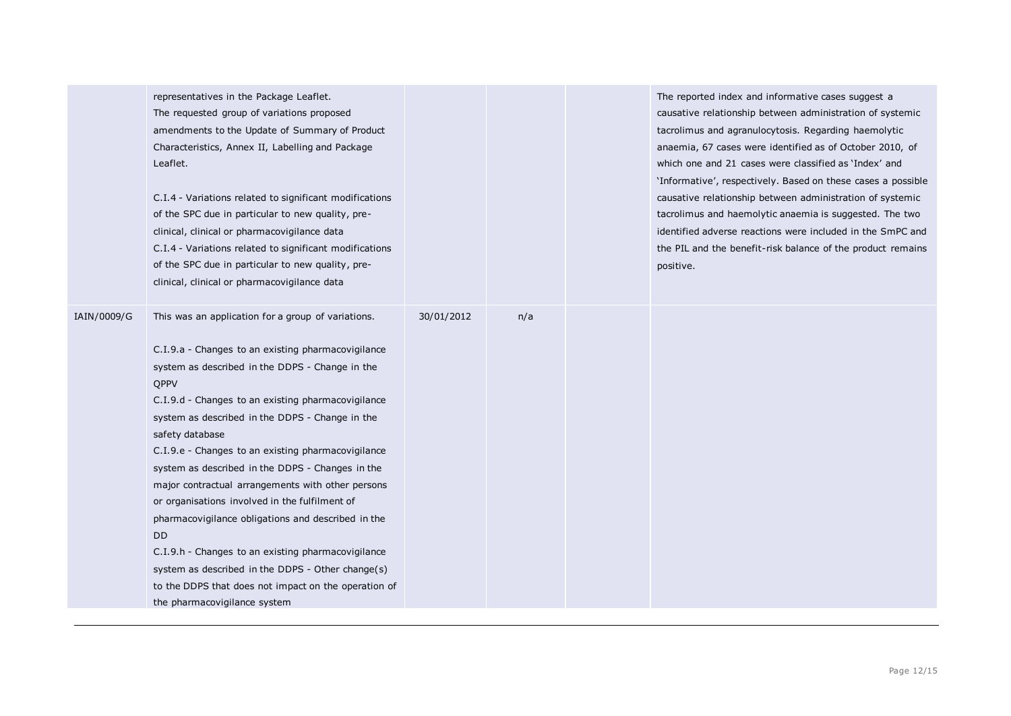|             | representatives in the Package Leaflet.<br>The requested group of variations proposed<br>amendments to the Update of Summary of Product<br>Characteristics, Annex II, Labelling and Package<br>Leaflet.<br>C.I.4 - Variations related to significant modifications<br>of the SPC due in particular to new quality, pre-<br>clinical, clinical or pharmacovigilance data<br>C.I.4 - Variations related to significant modifications<br>of the SPC due in particular to new quality, pre-<br>clinical, clinical or pharmacovigilance data                                                                                                                                                                                                                                          |            |     | The reported index and informative cases suggest a<br>causative relationship between administration of systemic<br>tacrolimus and agranulocytosis. Regarding haemolytic<br>anaemia, 67 cases were identified as of October 2010, of<br>which one and 21 cases were classified as 'Index' and<br>'Informative', respectively. Based on these cases a possible<br>causative relationship between administration of systemic<br>tacrolimus and haemolytic anaemia is suggested. The two<br>identified adverse reactions were included in the SmPC and<br>the PIL and the benefit-risk balance of the product remains<br>positive. |
|-------------|----------------------------------------------------------------------------------------------------------------------------------------------------------------------------------------------------------------------------------------------------------------------------------------------------------------------------------------------------------------------------------------------------------------------------------------------------------------------------------------------------------------------------------------------------------------------------------------------------------------------------------------------------------------------------------------------------------------------------------------------------------------------------------|------------|-----|--------------------------------------------------------------------------------------------------------------------------------------------------------------------------------------------------------------------------------------------------------------------------------------------------------------------------------------------------------------------------------------------------------------------------------------------------------------------------------------------------------------------------------------------------------------------------------------------------------------------------------|
| IAIN/0009/G | This was an application for a group of variations.<br>C.I.9.a - Changes to an existing pharmacovigilance<br>system as described in the DDPS - Change in the<br>QPPV<br>C.I.9.d - Changes to an existing pharmacovigilance<br>system as described in the DDPS - Change in the<br>safety database<br>C.I.9.e - Changes to an existing pharmacovigilance<br>system as described in the DDPS - Changes in the<br>major contractual arrangements with other persons<br>or organisations involved in the fulfilment of<br>pharmacovigilance obligations and described in the<br>DD.<br>C.I.9.h - Changes to an existing pharmacovigilance<br>system as described in the DDPS - Other change(s)<br>to the DDPS that does not impact on the operation of<br>the pharmacovigilance system | 30/01/2012 | n/a |                                                                                                                                                                                                                                                                                                                                                                                                                                                                                                                                                                                                                                |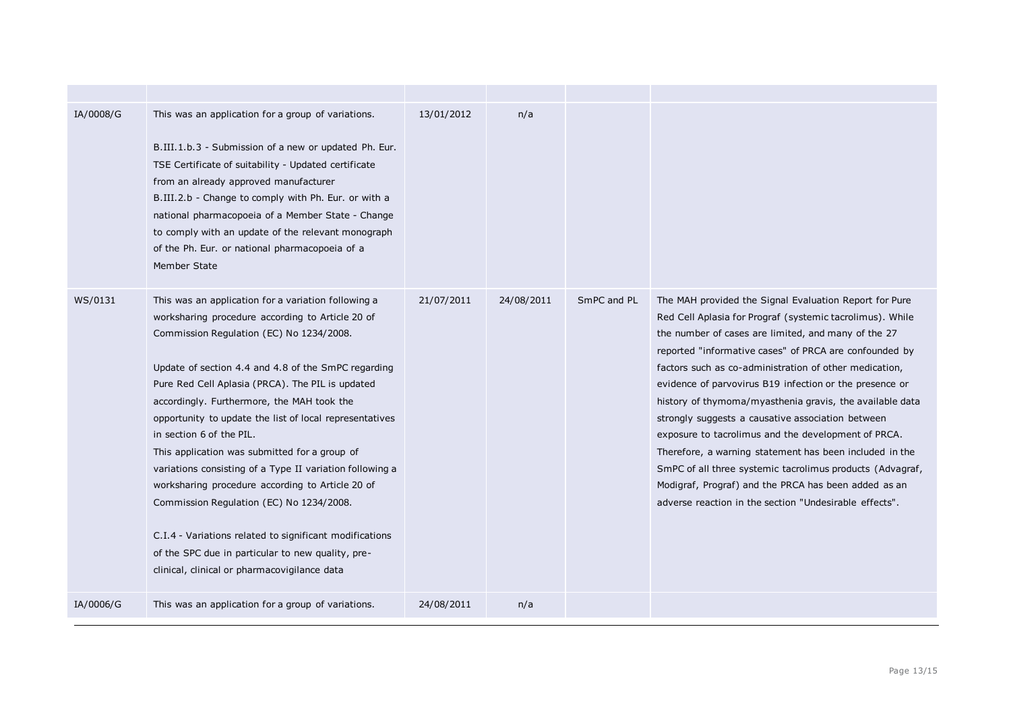| IA/0008/G | This was an application for a group of variations.<br>B.III.1.b.3 - Submission of a new or updated Ph. Eur.<br>TSE Certificate of suitability - Updated certificate<br>from an already approved manufacturer<br>B.III.2.b - Change to comply with Ph. Eur. or with a<br>national pharmacopoeia of a Member State - Change<br>to comply with an update of the relevant monograph<br>of the Ph. Eur. or national pharmacopoeia of a<br>Member State                                                                                                                                                                                                                                                                                                                                | 13/01/2012 | n/a        |             |                                                                                                                                                                                                                                                                                                                                                                                                                                                                                                                                                                                                                                                                                                                                                                             |
|-----------|----------------------------------------------------------------------------------------------------------------------------------------------------------------------------------------------------------------------------------------------------------------------------------------------------------------------------------------------------------------------------------------------------------------------------------------------------------------------------------------------------------------------------------------------------------------------------------------------------------------------------------------------------------------------------------------------------------------------------------------------------------------------------------|------------|------------|-------------|-----------------------------------------------------------------------------------------------------------------------------------------------------------------------------------------------------------------------------------------------------------------------------------------------------------------------------------------------------------------------------------------------------------------------------------------------------------------------------------------------------------------------------------------------------------------------------------------------------------------------------------------------------------------------------------------------------------------------------------------------------------------------------|
| WS/0131   | This was an application for a variation following a<br>worksharing procedure according to Article 20 of<br>Commission Regulation (EC) No 1234/2008.<br>Update of section 4.4 and 4.8 of the SmPC regarding<br>Pure Red Cell Aplasia (PRCA). The PIL is updated<br>accordingly. Furthermore, the MAH took the<br>opportunity to update the list of local representatives<br>in section 6 of the PIL.<br>This application was submitted for a group of<br>variations consisting of a Type II variation following a<br>worksharing procedure according to Article 20 of<br>Commission Regulation (EC) No 1234/2008.<br>C.I.4 - Variations related to significant modifications<br>of the SPC due in particular to new quality, pre-<br>clinical, clinical or pharmacovigilance data | 21/07/2011 | 24/08/2011 | SmPC and PL | The MAH provided the Signal Evaluation Report for Pure<br>Red Cell Aplasia for Prograf (systemic tacrolimus). While<br>the number of cases are limited, and many of the 27<br>reported "informative cases" of PRCA are confounded by<br>factors such as co-administration of other medication,<br>evidence of parvovirus B19 infection or the presence or<br>history of thymoma/myasthenia gravis, the available data<br>strongly suggests a causative association between<br>exposure to tacrolimus and the development of PRCA.<br>Therefore, a warning statement has been included in the<br>SmPC of all three systemic tacrolimus products (Advagraf,<br>Modigraf, Prograf) and the PRCA has been added as an<br>adverse reaction in the section "Undesirable effects". |
| IA/0006/G | This was an application for a group of variations.                                                                                                                                                                                                                                                                                                                                                                                                                                                                                                                                                                                                                                                                                                                               | 24/08/2011 | n/a        |             |                                                                                                                                                                                                                                                                                                                                                                                                                                                                                                                                                                                                                                                                                                                                                                             |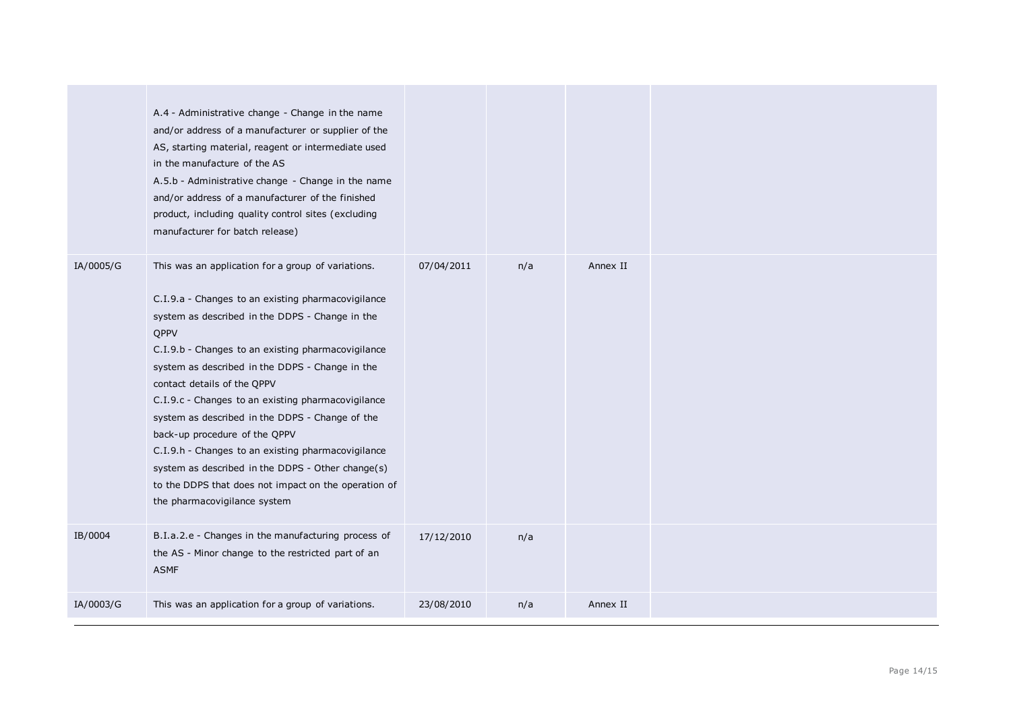|           | A.4 - Administrative change - Change in the name<br>and/or address of a manufacturer or supplier of the<br>AS, starting material, reagent or intermediate used<br>in the manufacture of the AS<br>A.5.b - Administrative change - Change in the name<br>and/or address of a manufacturer of the finished<br>product, including quality control sites (excluding<br>manufacturer for batch release)                                                                                                                                                                                                                                                       |            |     |          |  |
|-----------|----------------------------------------------------------------------------------------------------------------------------------------------------------------------------------------------------------------------------------------------------------------------------------------------------------------------------------------------------------------------------------------------------------------------------------------------------------------------------------------------------------------------------------------------------------------------------------------------------------------------------------------------------------|------------|-----|----------|--|
| IA/0005/G | This was an application for a group of variations.<br>C.I.9.a - Changes to an existing pharmacovigilance<br>system as described in the DDPS - Change in the<br>QPPV<br>C.I.9.b - Changes to an existing pharmacovigilance<br>system as described in the DDPS - Change in the<br>contact details of the QPPV<br>C.I.9.c - Changes to an existing pharmacovigilance<br>system as described in the DDPS - Change of the<br>back-up procedure of the QPPV<br>C.I.9.h - Changes to an existing pharmacovigilance<br>system as described in the DDPS - Other change(s)<br>to the DDPS that does not impact on the operation of<br>the pharmacovigilance system | 07/04/2011 | n/a | Annex II |  |
| IB/0004   | B.I.a.2.e - Changes in the manufacturing process of<br>the AS - Minor change to the restricted part of an<br><b>ASMF</b>                                                                                                                                                                                                                                                                                                                                                                                                                                                                                                                                 | 17/12/2010 | n/a |          |  |
| IA/0003/G | This was an application for a group of variations.                                                                                                                                                                                                                                                                                                                                                                                                                                                                                                                                                                                                       | 23/08/2010 | n/a | Annex II |  |